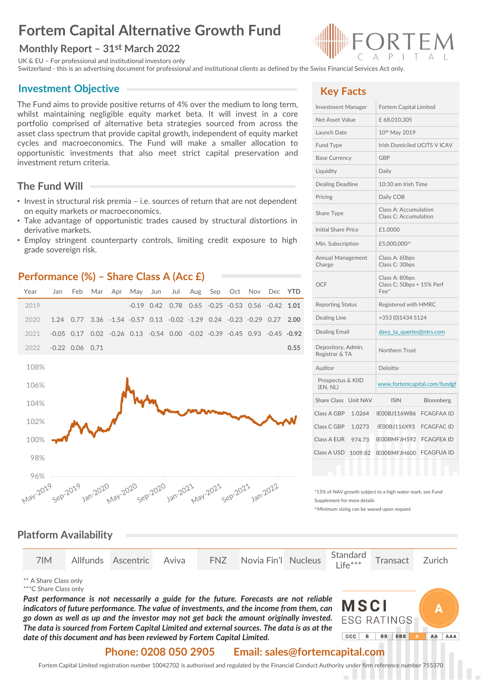# **Fortem Capital Alternative Growth Fund**

#### **Monthly Report – 31st March 2022**

UK & EU – For professional and institutional investors only

Switzerland - this is an advertising document for professional and institutional clients as defined by the Swiss Financial Services Act only.

#### **Investment Objective**

The Fund aims to provide positive returns of 4% over the medium to long term, whilst maintaining negligible equity market beta. It will invest in a core portfolio comprised of alternative beta strategies sourced from across the asset class spectrum that provide capital growth, independent of equity market cycles and macroeconomics. The Fund will make a smaller allocation to opportunistic investments that also meet strict capital preservation and investment return criteria.

#### **The Fund Will**

- Invest in structural risk premia i.e. sources of return that are not dependent on equity markets or macroeconomics.
- Take advantage of opportunistic trades caused by structural distortions in derivative markets.
- Employ stringent counterparty controls, limiting credit exposure to high grade sovereign risk.

#### **Performance (%) – Share Class A (Acc £)**



## **Key Facts**

| <b>Investment Manager</b>            | Fortem Capital Limited                                 |  |  |  |  |
|--------------------------------------|--------------------------------------------------------|--|--|--|--|
| Net Asset Value                      | £68,010,305                                            |  |  |  |  |
| Launch Date                          | 10th May 2019                                          |  |  |  |  |
| Fund Type                            | Irish Domiciled UCITS V ICAV                           |  |  |  |  |
| <b>Base Currency</b>                 | <b>GBP</b>                                             |  |  |  |  |
| Liquidity                            | Daily                                                  |  |  |  |  |
| Dealing Deadline                     | 10:30 am Irish Time                                    |  |  |  |  |
| Pricing                              | Daily COB                                              |  |  |  |  |
| Share Type                           | Class A: Accumulation<br>Class C: Accumulation         |  |  |  |  |
| <b>Initial Share Price</b>           | £1.0000                                                |  |  |  |  |
| Min. Subscription                    | £5,000,000^                                            |  |  |  |  |
| Annual Management<br>Charge          | Class A: 60bps<br>Class C: 30bps                       |  |  |  |  |
| <b>OCF</b>                           | Class A: 80bps<br>Class C: 50bps + 15% Perf<br>$Fee^*$ |  |  |  |  |
| <b>Reporting Status</b>              | Registered with HMRC                                   |  |  |  |  |
| Dealing Line                         | +353 (0)1434 5124                                      |  |  |  |  |
| <b>Dealing Email</b>                 | davy_ta_queries@ntrs.com                               |  |  |  |  |
| Depository, Admin,<br>Registrar & TA | Northern Trust                                         |  |  |  |  |
| Auditor                              | Deloitte                                               |  |  |  |  |
| Prospectus & KIID<br>(EN, NL)        | www.fortemcapital.com/fundgf                           |  |  |  |  |
| Unit NAV<br>Share Class              | <b>ISIN</b><br>Bloomberg                               |  |  |  |  |
| Class A GBP<br>1.0264                | IE00BJ116W86<br><b>FCAGFAA ID</b>                      |  |  |  |  |
| Class C GBP<br>1.0273                | IE00BJ116X93<br><b>FCAGFAC ID</b>                      |  |  |  |  |
| Class A EUR<br>974.73                | IE00BMFJH592<br><b>FCAGFEA ID</b>                      |  |  |  |  |
| Class A USD<br>1009.82               | <b>FCAGFUA ID</b><br>IE00BMFJH600                      |  |  |  |  |
|                                      |                                                        |  |  |  |  |

\*15% of NAV growth subject to a high water mark, see Fund Supplement for more details

^Minimum sizing can be waved upon request

#### **Platform Availability**

|  |  |  |  |  | 7IM Allfunds Ascentric Aviva FNZ Novia Fin'l Nucleus Standard Transact Zurich |  |  |  |  |
|--|--|--|--|--|-------------------------------------------------------------------------------|--|--|--|--|
|--|--|--|--|--|-------------------------------------------------------------------------------|--|--|--|--|

\*\* A Share Class only

\*\*\*C Share Class only

*Past performance is not necessarily a guide for the future. Forecasts are not reliable indicators of future performance. The value of investments, and the income from them, can go down as well as up and the investor may not get back the amount originally invested. The data is sourced from Fortem Capital Limited and external sources. The data is as at the date of this document and has been reviewed by Fortem Capital Limited.*



#### **Phone: 0208 050 2905 Email: sales@fortemcapital.com**

Fortem Capital Limited registration number 10042702 is authorised and regulated by the Financial Conduct Authority under firm reference number 755370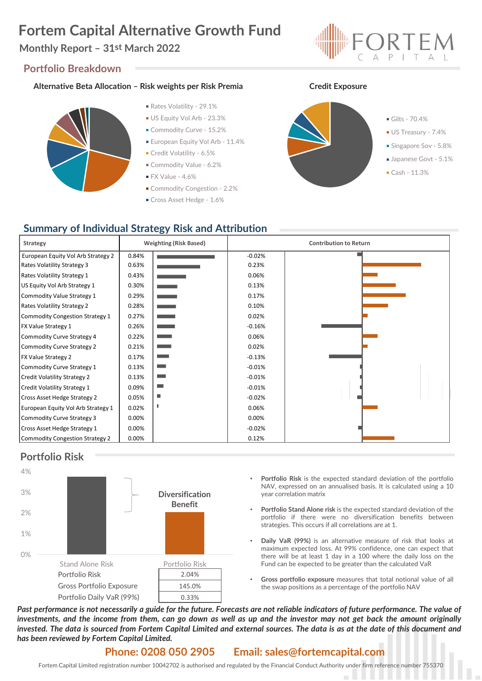# **Fortem Capital Alternative Growth Fund**

## **Monthly Report – 31st March 2022**

#### **Portfolio Breakdown**

#### **Alternative Beta Allocation – Risk weights per Risk Premia Credit Exposure**



- Rates Volatility 29.1%
- US Equity Vol Arb 23.3%
- Commodity Curve 15.2%
- **European Equity Vol Arb 11.4%**
- Credit Volatility 6.5%
- Commodity Value 6.2%
- $\blacksquare$  FX Value 4.6%
- Commodity Congestion 2.2%
- Cross Asset Hedge 1.6%





## **Summary of Individual Strategy Risk and Attribution**

| <b>Strategy</b>                        |       | <b>Weighting (Risk Based)</b> | <b>Contribution to Return</b> |  |
|----------------------------------------|-------|-------------------------------|-------------------------------|--|
| European Equity Vol Arb Strategy 2     | 0.84% |                               | $-0.02%$                      |  |
| Rates Volatility Strategy 3            | 0.63% |                               | 0.23%                         |  |
| Rates Volatility Strategy 1            | 0.43% |                               | 0.06%                         |  |
| US Equity Vol Arb Strategy 1           | 0.30% |                               | 0.13%                         |  |
| Commodity Value Strategy 1             | 0.29% | <b>State State</b>            | 0.17%                         |  |
| Rates Volatility Strategy 2            | 0.28% | and the state                 | 0.10%                         |  |
| <b>Commodity Congestion Strategy 1</b> | 0.27% | <b>Contract Contract</b>      | 0.02%                         |  |
| <b>FX Value Strategy 1</b>             | 0.26% |                               | $-0.16%$                      |  |
| Commodity Curve Strategy 4             | 0.22% |                               | 0.06%                         |  |
| Commodity Curve Strategy 2             | 0.21% |                               | 0.02%                         |  |
| <b>FX Value Strategy 2</b>             | 0.17% | a an                          | $-0.13%$                      |  |
| Commodity Curve Strategy 1             | 0.13% |                               | $-0.01%$                      |  |
| <b>Credit Volatility Strategy 2</b>    | 0.13% | ٠                             | $-0.01%$                      |  |
| Credit Volatility Strategy 1           | 0.09% | <b>The Co</b>                 | $-0.01%$                      |  |
| Cross Asset Hedge Strategy 2           | 0.05% | ш                             | $-0.02%$                      |  |
| European Equity Vol Arb Strategy 1     | 0.02% |                               | 0.06%                         |  |
| Commodity Curve Strategy 3             | 0.00% |                               | 0.00%                         |  |
| Cross Asset Hedge Strategy 1           | 0.00% |                               | $-0.02%$                      |  |
| Commodity Congestion Strategy 2        | 0.00% |                               | 0.12%                         |  |

## **Portfolio Risk**



- **Portfolio Risk** is the expected standard deviation of the portfolio NAV, expressed on an annualised basis. It is calculated using a 10 year correlation matrix
- **Portfolio Stand Alone risk** is the expected standard deviation of the portfolio if there were no diversification benefits between strategies. This occurs if all correlations are at 1.
- **Daily VaR (99%)** is an alternative measure of risk that looks at maximum expected loss. At 99% confidence, one can expect that there will be at least 1 day in a 100 where the daily loss on the Fund can be expected to be greater than the calculated VaR
- **Gross portfolio exposure** measures that total notional value of all the swap positions as a percentage of the portfolio NAV

Past performance is not necessarily a guide for the future. Forecasts are not reliable indicators of future performance. The value of investments, and the income from them, can go down as well as up and the investor may not get back the amount originally invested. The data is sourced from Fortem Capital Limited and external sources. The data is as at the date of this document and *has been reviewed by Fortem Capital Limited.*

#### **Phone: 0208 050 2905 Email: sales@fortemcapital.com**

Fortem Capital Limited registration number 10042702 is authorised and regulated by the Financial Conduct Authority under firm reference number 755370